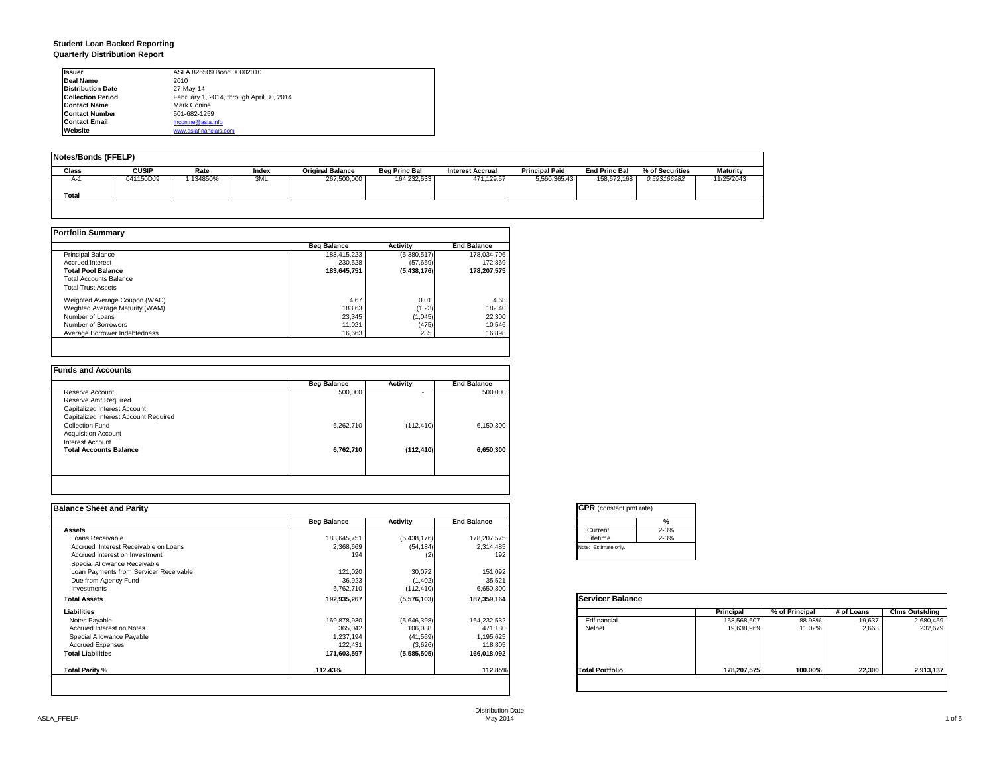#### **Student Loan Backed Reporting Quarterly Distribution Report**

| <b>Issuer</b>            | ASLA 826509 Bond 00002010                |
|--------------------------|------------------------------------------|
| Deal Name                | 2010                                     |
| <b>Distribution Date</b> | 27-May-14                                |
| <b>Collection Period</b> | February 1, 2014, through April 30, 2014 |
| <b>Contact Name</b>      | Mark Conine                              |
| <b>Contact Number</b>    | 501-682-1259                             |
| <b>Contact Email</b>     | mconine@asla.info                        |
| Website                  | www.aslafinancials.com                   |

| Notes/Bonds (FFELP) |              |          |       |                         |                      |                         |                       |                      |                 |                 |
|---------------------|--------------|----------|-------|-------------------------|----------------------|-------------------------|-----------------------|----------------------|-----------------|-----------------|
|                     |              |          |       |                         |                      |                         |                       |                      |                 |                 |
| Class               | <b>CUSIP</b> | Rate     | Index | <b>Original Balance</b> | <b>Beg Princ Bal</b> | <b>Interest Accrual</b> | <b>Principal Paid</b> | <b>End Princ Bal</b> | % of Securities | <b>Maturity</b> |
| $A-1$               | 041150DJ9    | .134850% | 3ML   | 267,500,000             | 164,232,533          | 471,129.57              | 5.560.365.43          | 158,672.168          | 0.593166982     | 11/25/2043      |
|                     |              |          |       |                         |                      |                         |                       |                      |                 |                 |
| Total               |              |          |       |                         |                      |                         |                       |                      |                 |                 |
|                     |              |          |       |                         |                      |                         |                       |                      |                 |                 |

|                                | <b>Beg Balance</b> | <b>Activity</b> | <b>End Balance</b> |
|--------------------------------|--------------------|-----------------|--------------------|
| <b>Principal Balance</b>       | 183.415.223        | (5,380,517)     | 178.034.706        |
| <b>Accrued Interest</b>        | 230.528            | (57, 659)       | 172.869            |
| <b>Total Pool Balance</b>      | 183.645.751        | (5,438,176)     | 178,207,575        |
| <b>Total Accounts Balance</b>  |                    |                 |                    |
| <b>Total Trust Assets</b>      |                    |                 |                    |
| Weighted Average Coupon (WAC)  | 4.67               | 0.01            | 4.68               |
| Weghted Average Maturity (WAM) | 183.63             | (1.23)          | 182.40             |
| Number of Loans                | 23.345             | (1,045)         | 22,300             |
| Number of Borrowers            | 11.021             | (475)           | 10,546             |
| Average Borrower Indebtedness  | 16.663             | 235             | 16,898             |

| <b>Beg Balance</b> | <b>Activity</b> | <b>End Balance</b> |
|--------------------|-----------------|--------------------|
| 500,000            |                 | 500,000            |
|                    |                 |                    |
|                    |                 |                    |
|                    |                 |                    |
| 6,262,710          | (112, 410)      | 6,150,300          |
|                    |                 |                    |
|                    |                 |                    |
| 6,762,710          | (112, 410)      | 6,650,300          |
|                    |                 |                    |
|                    |                 |                    |

| <b>Balance Sheet and Parity</b>        |                    |             |                    | <b>CPR</b> (constant pmt rate) |             |                |            |                       |
|----------------------------------------|--------------------|-------------|--------------------|--------------------------------|-------------|----------------|------------|-----------------------|
|                                        | <b>Beg Balance</b> | Activity    | <b>End Balance</b> | %                              |             |                |            |                       |
| Assets                                 |                    |             |                    | $2 - 3%$<br>Current            |             |                |            |                       |
| Loans Receivable                       | 183,645,751        | (5,438,176) | 178,207,575        | $2 - 3%$<br>Lifetime           |             |                |            |                       |
| Accrued Interest Receivable on Loans   | 2,368,669          | (54, 184)   | 2,314,485          | Note: Estimate only.           |             |                |            |                       |
| Accrued Interest on Investment         | 194                | (2)         | 192                |                                |             |                |            |                       |
| Special Allowance Receivable           |                    |             |                    |                                |             |                |            |                       |
| Loan Payments from Servicer Receivable | 121,020            | 30,072      | 151,092            |                                |             |                |            |                       |
| Due from Agency Fund                   | 36,923             | (1,402)     | 35,521             |                                |             |                |            |                       |
| Investments                            | 6,762,710          | (112, 410)  | 6,650,300          |                                |             |                |            |                       |
| <b>Total Assets</b>                    | 192,935,267        | (5,576,103) | 187,359,164        | <b>Servicer Balance</b>        |             |                |            |                       |
| Liabilities                            |                    |             |                    |                                | Principal   | % of Principal | # of Loans | <b>Clms Outstding</b> |
| Notes Payable                          | 169,878,930        | (5,646,398) | 164,232,532        | Edfinancial                    | 158,568,607 | 88.98%         | 19,637     | 2,680,459             |
| Accrued Interest on Notes              | 365,042            | 106,088     | 471,130            | Nelnet                         | 19,638,969  | 11.02%         | 2,663      | 232,679               |
| Special Allowance Payable              | 1,237,194          | (41, 569)   | 1,195,625          |                                |             |                |            |                       |
| <b>Accrued Expenses</b>                | 122,431            | (3,626)     | 118,805            |                                |             |                |            |                       |
| <b>Total Liabilities</b>               | 171,603,597        | (5,585,505) | 166,018,092        |                                |             |                |            |                       |
| Total Parity %                         | 112.43%            |             | 112.85%            | <b>Total Portfolio</b>         | 178,207,575 | 100.00%        | 22,300     | 2,913,137             |
|                                        |                    |             |                    |                                |             |                |            |                       |

| <b>CPR</b> (constant pmt rate) |          |  |  |  |  |
|--------------------------------|----------|--|--|--|--|
|                                | %        |  |  |  |  |
| Current                        | $2 - 3%$ |  |  |  |  |
| Lifetime                       | $2 - 3%$ |  |  |  |  |
| Note: Estimate only.           |          |  |  |  |  |
|                                |          |  |  |  |  |

|                        | <b>Principal</b> | % of Principal | # of Loans | <b>Clms Outstding</b> |
|------------------------|------------------|----------------|------------|-----------------------|
| Edfinancial            | 158,568,607      | 88.98%         | 19,637     | 2,680,459             |
| Nelnet                 | 19,638,969       | 11.02%         | 2,663      | 232,679               |
| <b>Total Portfolio</b> | 178,207,575      | 100.00%        | 22,300     | 2,913,137             |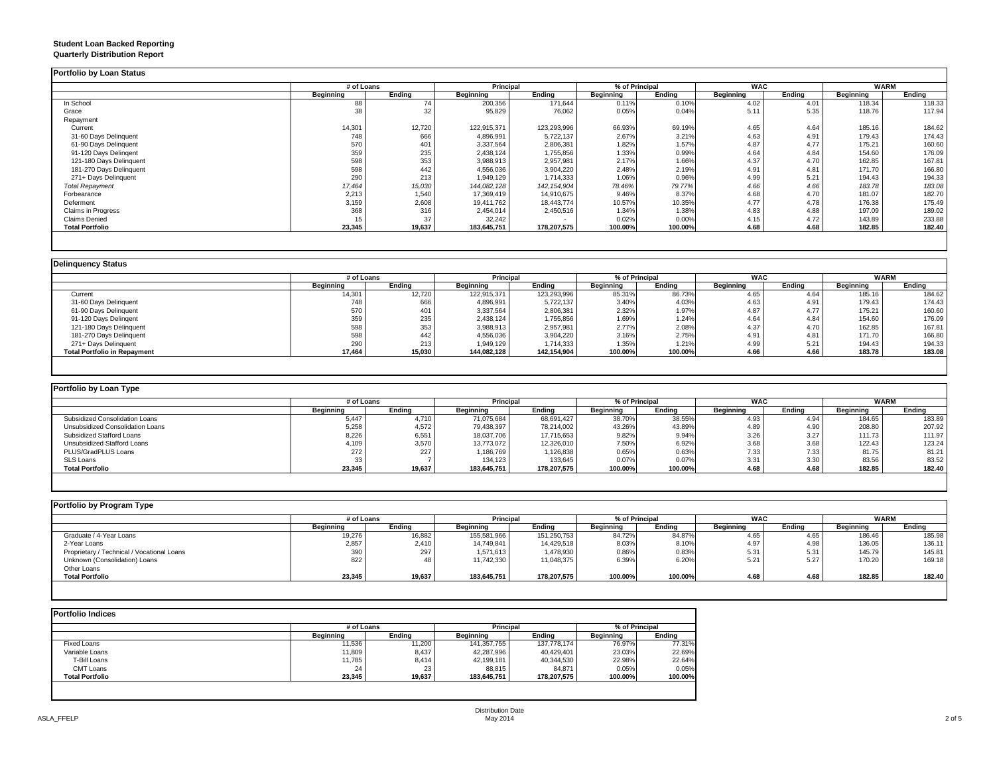## **Student Loan Backed Reporting**

|  | <b>Quarterly Distribution Report</b> |  |
|--|--------------------------------------|--|
|--|--------------------------------------|--|

|                         | # of Loans |        | <b>Principal</b> |               | % of Principal   |         | <b>WAC</b> |        | <b>WARM</b> |        |
|-------------------------|------------|--------|------------------|---------------|------------------|---------|------------|--------|-------------|--------|
|                         | Beginning  | Ending | Beginning        | Ending        | <b>Beginning</b> | Ending  | Beginning  | Ending | Beginning   | Ending |
| In School               | 88         | 74     | 200,356          | 171,644       | 0.11%            | 0.10%   | 4.02       | 4.01   | 118.34      | 118.33 |
| Grace                   | 38         | 32     | 95,829           | 76,062        | 0.05%            | 0.04%   | 5.11       | 5.35   | 118.76      | 117.94 |
| Repayment               |            |        |                  |               |                  |         |            |        |             |        |
| Current                 | 14,301     | 12,720 | 122.915.371      | 123,293,996   | 66.93%           | 69.19%  | 4.65       | 4.64   | 185.16      | 184.62 |
| 31-60 Days Delinquent   | 748        | 666    | 4,896,991        | 5,722,137     | 2.67%            | 3.21%   | 4.63       | 4.91   | 179.43      | 174.43 |
| 61-90 Days Delinquent   | 570        | 401    | 3,337,564        | 2,806,381     | 1.82%            | 1.57%   | 4.87       | 4.77   | 175.21      | 160.60 |
| 91-120 Days Delingent   | 359        | 235    | 2,438,124        | 1,755,856     | 1.33%            | 0.99%   | 4.64       | 4.84   | 154.60      | 176.09 |
| 121-180 Days Delinquent | 598        | 353    | 3,988,913        | 2,957,981     | 2.17%            | 1.66%   | 4.37       | 4.70   | 162.85      | 167.81 |
| 181-270 Days Delinquent | 598        | 442    | 4,556,036        | 3,904,220     | 2.48%            | 2.19%   | 4.91       | 4.81   | 171.70      | 166.80 |
| 271+ Days Delinquent    | 290        | 213    | 1,949,129        | 1,714,333     | 1.06%            | 0.96%   | 4.99       | 5.21   | 194.43      | 194.33 |
| <b>Total Repayment</b>  | 17,464     | 15,030 | 144,082,128      | 142, 154, 904 | 78.46%           | 79.77%  | 4.66       | 4.66   | 183.78      | 183.08 |
| Forbearance             | 2,213      | 1,540  | 17,369,419       | 14,910,675    | 9.46%            | 8.37%   | 4.68       | 4.70   | 181.07      | 182.70 |
| Deferment               | 3,159      | 2,608  | 19,411,762       | 18,443,774    | 10.57%           | 10.35%  | 4.77       | 4.78   | 176.38      | 175.49 |
| Claims in Progress      | 368        | 316    | 2,454,014        | 2,450,516     | 1.34%            | 1.38%   | 4.83       | 4.88   | 197.09      | 189.02 |
| <b>Claims Denied</b>    | 15         | 37     | 32,242           |               | 0.02%            | 0.00%   | 4.15       | 4.72   | 143.89      | 233.88 |
| <b>Total Portfolio</b>  | 23,345     | 19,637 | 183,645,751      | 178,207,575   | 100.00%          | 100.00% | 4.68       | 4.68   | 182.85      | 182.40 |

|                                     |           | # of Loans |                  | <b>Principal</b> |           | % of Principal |                  | <b>WAC</b> |           | <b>WARM</b> |
|-------------------------------------|-----------|------------|------------------|------------------|-----------|----------------|------------------|------------|-----------|-------------|
|                                     | Beginning | Ending     | <b>Beginning</b> | Ending           | Beginning | Endina         | <b>Beginning</b> | Endina     | Beginning | Ending      |
| Current                             | 14,301    | 12,720     | 122,915,371      | 123,293,996      | 85.31%    | 86.73%         | 4.65             | 4.64       | 185.16    | 184.62      |
| 31-60 Days Delinquent               | 748       | 666        | 4,896,991        | 5,722,137        | 3.40%     | 4.03%          | 4.63             | 4.91       | 179.43    | 174.43      |
| 61-90 Days Delinquent               | 570       | 401        | 3,337,564        | 2,806,381        | 2.32%     | 1.97%          | 4.87             | 4.77       | 175.21    | 160.60      |
| 91-120 Days Delingent               | 359       | 235        | 2,438,124        | 1,755,856        | 1.69%     | 1.24%          | 4.64             | 4.84       | 154.60    | 176.09      |
| 121-180 Days Delinquent             | 598       | 353        | 3,988,913        | 2,957,981        | 2.77%     | 2.08%          | 4.37             | 4.70       | 162.85    | 167.81      |
| 181-270 Days Delinquent             | 598       | 442        | 4,556,036        | 3,904,220        | 3.16%     | 2.75%          | 4.91             | 4.81       | 171.70    | 166.80      |
| 271+ Days Delinquent                | 290       | 213        | 1,949,129        | 1,714,333        | 1.35%     | 1.21%          | 4.99             | 5.21       | 194.43    | 194.33      |
| <b>Total Portfolio in Repayment</b> | 17,464    | 15,030     | 144,082,128      | 142,154,904      | 100.00%   | 100.00%        | 4.66             | 4.66       | 183.78    | 183.08      |

| Portfolio by Loan Type           |                  |        |                  |             |                  |         |                  |        |             |        |  |
|----------------------------------|------------------|--------|------------------|-------------|------------------|---------|------------------|--------|-------------|--------|--|
|                                  | # of Loans       |        | <b>Principal</b> |             | % of Principal   |         | <b>WAC</b>       |        | <b>WARM</b> |        |  |
|                                  | <b>Beginning</b> | Endina | Beginning        | Endina      | <b>Beainning</b> | Endina  | <b>Beginning</b> | Endina | Beginning   | Endina |  |
| Subsidized Consolidation Loans   | 5,447            | 4.710  | 71,075,684       | 68,691,427  | 38.70%           | 38.55%  | 4.93             | 4.94   | 184.65      | 183.89 |  |
| Unsubsidized Consolidation Loans | 5,258            | 4.572  | 79,438,397       | 78,214,002  | 43.26%           | 43.89%  | 4.89             | 4.90   | 208.80      | 207.92 |  |
| Subsidized Stafford Loans        | 8,226            | 6,551  | 18,037,706       | 17,715,653  | 9.82%            | 9.94%   | 3.26             | 3.27   | 111.73      | 111.97 |  |
| Unsubsidized Stafford Loans      | 4,109            | 3,570  | 13,773,072       | 12,326,010  | 7.50%            | 6.92%   | 3.68             | 3.68   | 122.43      | 123.24 |  |
| PLUS/GradPLUS Loans              | 272              | 227    | 1,186,769        | 1,126,838   | 0.65%            | 0.63%   | 7.33             | 7.33   | 81.75       | 81.21  |  |
| SLS Loans                        | 33               |        | 134,123          | 133,645     | 0.07%            | 0.07%   | 3.31             | 3.30   | 83.56       | 83.52  |  |
| <b>Total Portfolio</b>           | 23,345           | 19,637 | 183.645.751      | 178.207.575 | 100.00%          | 100.00% | 4.68             | 4.68   | 182.85      | 182.40 |  |

| Portfolio by Program Type                  |                  |        |                  |             |                |         |            |        |                  |        |  |  |
|--------------------------------------------|------------------|--------|------------------|-------------|----------------|---------|------------|--------|------------------|--------|--|--|
|                                            | # of Loans       |        | <b>Principal</b> |             | % of Principal |         | <b>WAC</b> |        | <b>WARM</b>      |        |  |  |
|                                            | <b>Beainning</b> | Endina | Beginning        | Endina      | Beginning      | Ending  | Beainnina  | Endina | <b>Beainning</b> | Ending |  |  |
| Graduate / 4-Year Loans                    | 19,276           | 16,882 | 155,581,966      | 151,250,753 | 84.72%         | 84.87%  | 4.65       | 4.65   | 186.46           | 185.98 |  |  |
| 2-Year Loans                               | 2,857            | 2,410  | 14,749,841       | 14,429,518  | 8.03%          | 8.10%   | 4.97       | 4.98   | 136.05           | 136.11 |  |  |
| Proprietary / Technical / Vocational Loans | 390              | 297    | 1,571,613        | 1,478,930   | 0.86%          | 0.83%   | 5.31       | 5.31   | 145.79           | 145.81 |  |  |
| Unknown (Consolidation) Loans              | 822              |        | 11,742,330       | 11,048,375  | 6.39%          | 6.20%   | 5.21       | 5.27   | 170.20           | 169.18 |  |  |
| Other Loans                                |                  |        |                  |             |                |         |            |        |                  |        |  |  |
| <b>Total Portfolio</b>                     | 23,345           | 19,637 | 183,645,751      | 178,207,575 | 100.00%        | 100.00% | 4.68       | 4.68   | 182.85           | 182.40 |  |  |
|                                            |                  |        |                  |             |                |         |            |        |                  |        |  |  |

|                        |           | # of Loans |                  | Principal   |           | % of Principal |  |
|------------------------|-----------|------------|------------------|-------------|-----------|----------------|--|
|                        | Beginning | Endina     | <b>Beginning</b> | Endina      | Beginning | Endina         |  |
| <b>Fixed Loans</b>     | 11,536    | 11.200     | 141.357.755      | 137,778,174 | 76.97%    | 77.31%         |  |
| Variable Loans         | 11,809    | 8,437      | 42.287.996       | 40,429,401  | 23.03%    | 22.69%         |  |
| T-Bill Loans           | 11.785    | 8.414      | 42,199,181       | 40,344,530  | 22.98%    | 22.64%         |  |
| CMT Loans              | 24        | 23         | 88.815           | 84.871      | 0.05%     | 0.05%          |  |
| <b>Total Portfolio</b> | 23,345    | 19,637     | 183,645,751      | 178,207,575 | 100.00%   | 100.00%        |  |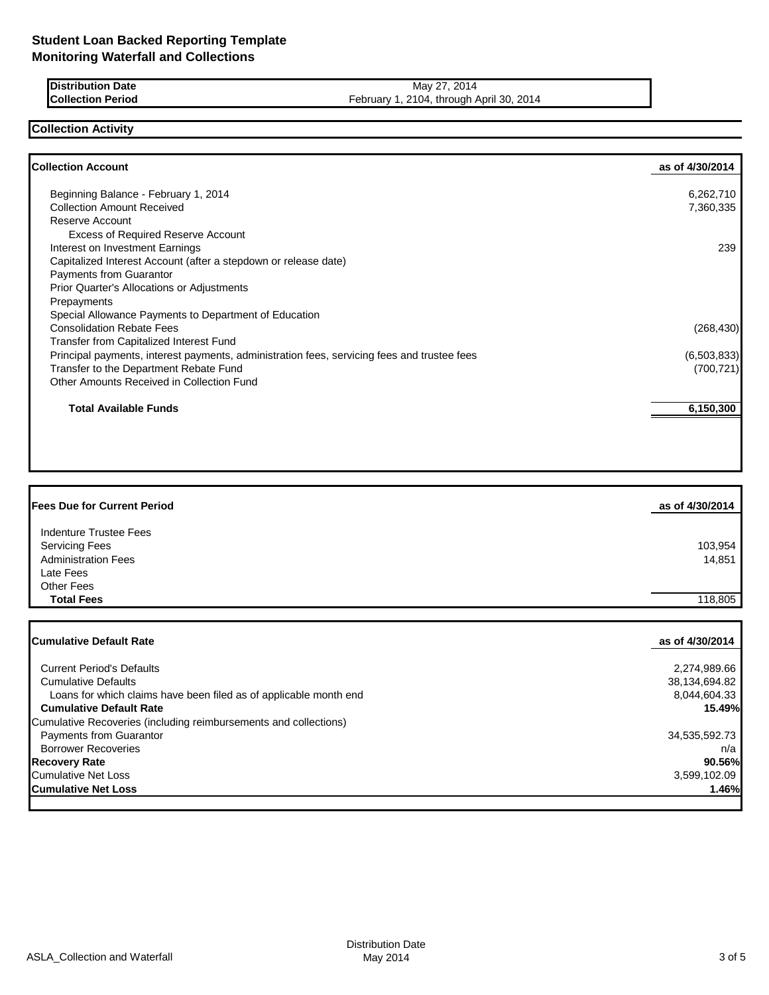**Distribution Date** May 27, 2014<br>**Collection Period** Collection Period Energy 1, 2104, through A February 1, 2104, through April 30, 2014

## **Collection Activity**

| <b>Collection Account</b>                                                                   | as of 4/30/2014 |
|---------------------------------------------------------------------------------------------|-----------------|
| Beginning Balance - February 1, 2014                                                        | 6,262,710       |
| <b>Collection Amount Received</b>                                                           | 7,360,335       |
| Reserve Account                                                                             |                 |
| <b>Excess of Required Reserve Account</b>                                                   |                 |
| Interest on Investment Earnings                                                             | 239             |
| Capitalized Interest Account (after a stepdown or release date)                             |                 |
| Payments from Guarantor                                                                     |                 |
| Prior Quarter's Allocations or Adjustments                                                  |                 |
| Prepayments                                                                                 |                 |
| Special Allowance Payments to Department of Education                                       |                 |
| <b>Consolidation Rebate Fees</b>                                                            | (268, 430)      |
| Transfer from Capitalized Interest Fund                                                     |                 |
| Principal payments, interest payments, administration fees, servicing fees and trustee fees | (6,503,833)     |
| Transfer to the Department Rebate Fund                                                      | (700, 721)      |
| Other Amounts Received in Collection Fund                                                   |                 |
| Total Available Funds                                                                       | 6,150,300       |
|                                                                                             |                 |
|                                                                                             |                 |

| <b>Fees Due for Current Period</b> | as of 4/30/2014 |
|------------------------------------|-----------------|
| Indenture Trustee Fees             |                 |
| <b>Servicing Fees</b>              | 103,954         |
| <b>Administration Fees</b>         | 14,851          |
| Late Fees                          |                 |
| <b>Other Fees</b>                  |                 |
| <b>Total Fees</b>                  | 118.805         |

| <b>ICumulative Default Rate</b>                                   | as of 4/30/2014 |
|-------------------------------------------------------------------|-----------------|
|                                                                   |                 |
| <b>Current Period's Defaults</b>                                  | 2,274,989.66    |
| <b>Cumulative Defaults</b>                                        | 38,134,694.82   |
| Loans for which claims have been filed as of applicable month end | 8,044,604.33    |
| <b>Cumulative Default Rate</b>                                    | 15.49%          |
| Cumulative Recoveries (including reimbursements and collections)  |                 |
| <b>Payments from Guarantor</b>                                    | 34,535,592.73   |
| <b>Borrower Recoveries</b>                                        | n/a             |
| <b>Recovery Rate</b>                                              | 90.56%          |
| <b>Cumulative Net Loss</b>                                        | 3,599,102.09    |
| <b>Cumulative Net Loss</b>                                        | 1.46%           |
|                                                                   |                 |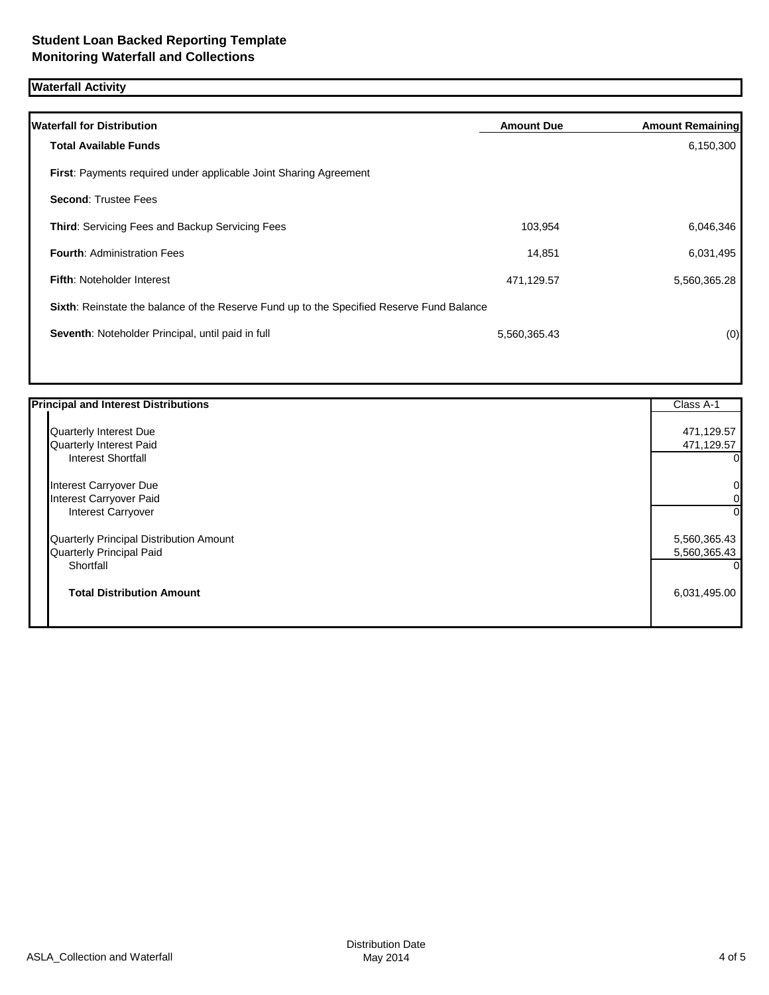# **Waterfall Activity**

| <b>Waterfall for Distribution</b>                                                         | <b>Amount Due</b> | <b>Amount Remaining</b> |
|-------------------------------------------------------------------------------------------|-------------------|-------------------------|
| <b>Total Available Funds</b>                                                              |                   | 6,150,300               |
| <b>First:</b> Payments required under applicable Joint Sharing Agreement                  |                   |                         |
| <b>Second: Trustee Fees</b>                                                               |                   |                         |
| Third: Servicing Fees and Backup Servicing Fees                                           | 103,954           | 6,046,346               |
| <b>Fourth: Administration Fees</b>                                                        | 14.851            | 6,031,495               |
| <b>Fifth: Noteholder Interest</b>                                                         | 471,129.57        | 5,560,365.28            |
| Sixth: Reinstate the balance of the Reserve Fund up to the Specified Reserve Fund Balance |                   |                         |
| Seventh: Noteholder Principal, until paid in full                                         | 5,560,365.43      | (0)                     |
|                                                                                           |                   |                         |

| <b>Principal and Interest Distributions</b> | Class A-1      |
|---------------------------------------------|----------------|
| Quarterly Interest Due                      | 471,129.57     |
| Quarterly Interest Paid                     | 471,129.57     |
| <b>Interest Shortfall</b>                   | 01             |
| Interest Carryover Due                      | $\overline{0}$ |
| Interest Carryover Paid                     | 01             |
| Interest Carryover                          | 0Ι             |
| Quarterly Principal Distribution Amount     | 5,560,365.43   |
| Quarterly Principal Paid                    | 5,560,365.43   |
| Shortfall                                   | 0              |
| <b>Total Distribution Amount</b>            | 6,031,495.00   |
|                                             |                |